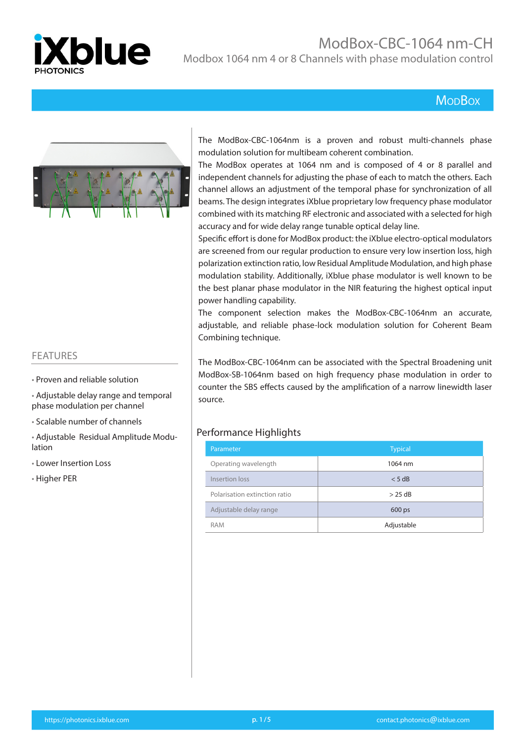

# ModBox-CBC-1064 nm-CH

Modbox 1064 nm 4 or 8 Channels with phase modulation control

# **MopBox**



#### FEATURES

- Proven and reliable solution
- Adjustable delay range and temporal phase modulation per channel
- Scalable number of channels
- Adjustable Residual Amplitude Modulation
- Lower Insertion Loss
- Higher PER

The ModBox-CBC-1064nm is a proven and robust multi-channels phase modulation solution for multibeam coherent combination.

The ModBox operates at 1064 nm and is composed of 4 or 8 parallel and independent channels for adjusting the phase of each to match the others. Each channel allows an adjustment of the temporal phase for synchronization of all beams. The design integrates iXblue proprietary low frequency phase modulator combined with its matching RF electronic and associated with a selected for high accuracy and for wide delay range tunable optical delay line.

Specific effort is done for ModBox product: the iXblue electro-optical modulators are screened from our regular production to ensure very low insertion loss, high polarization extinction ratio, low Residual Amplitude Modulation, and high phase modulation stability. Additionally, iXblue phase modulator is well known to be the best planar phase modulator in the NIR featuring the highest optical input power handling capability.

The component selection makes the ModBox-CBC-1064nm an accurate, adjustable, and reliable phase-lock modulation solution for Coherent Beam Combining technique.

The ModBox-CBC-1064nm can be associated with the Spectral Broadening unit ModBox-SB-1064nm based on high frequency phase modulation in order to counter the SBS effects caused by the amplification of a narrow linewidth laser source.

#### Performance Highlights

| Parameter                     | <b>Typical</b> |
|-------------------------------|----------------|
| Operating wavelength          | 1064 nm        |
| Insertion loss                | < 5 dB         |
| Polarisation extinction ratio | $>$ 25 dB      |
| Adjustable delay range        | 600 ps         |
| <b>RAM</b>                    | Adjustable     |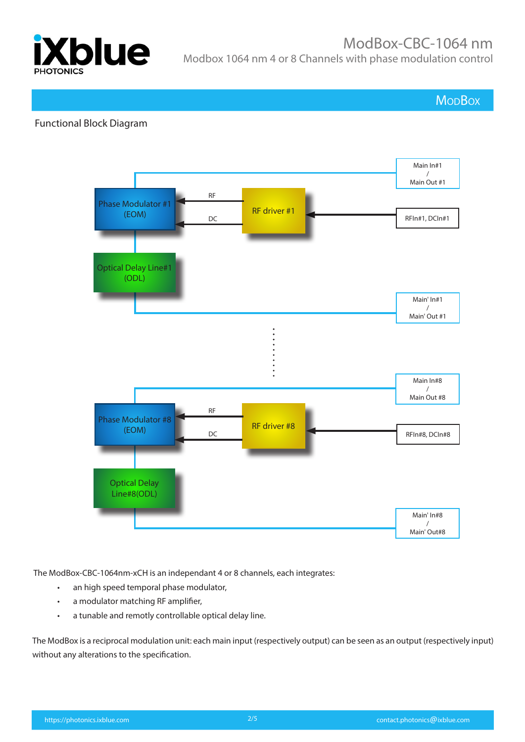

**MoDBox** 

## Functional Block Diagram



The ModBox-CBC-1064nm-xCH is an independant 4 or 8 channels, each integrates:

- an high speed temporal phase modulator,
- a modulator matching RF amplifier,
- a tunable and remotly controllable optical delay line.

The ModBox is a reciprocal modulation unit: each main input (respectively output) can be seen as an output (respectively input) without any alterations to the specification.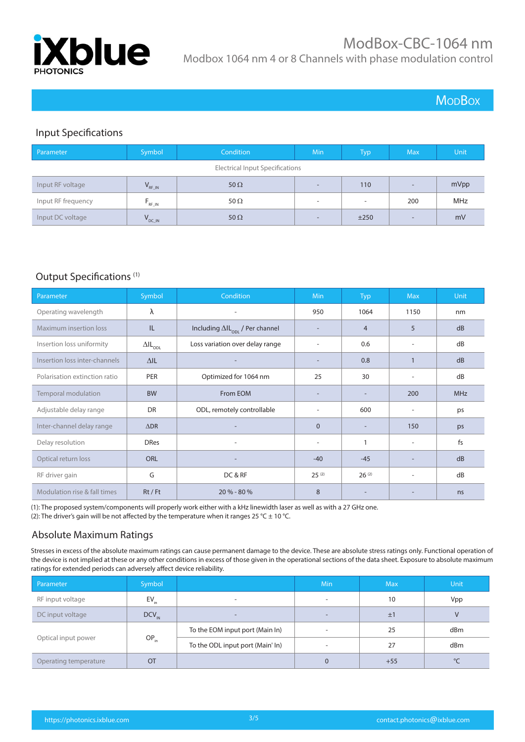

# **MoDBox**

# Input Specifications

| Parameter                              | Symbol       | Condition   | Min                      | <b>Typ</b> | Max.                     | Unit       |
|----------------------------------------|--------------|-------------|--------------------------|------------|--------------------------|------------|
| <b>Electrical Input Specifications</b> |              |             |                          |            |                          |            |
| Input RF voltage                       | $V_{RF\_IN}$ | 50 $\Omega$ | $\overline{\phantom{a}}$ | 110        | $\overline{\phantom{a}}$ | mVpp       |
| Input RF frequency                     | $F_{RF\_IN}$ | 50 $\Omega$ | $\overline{\phantom{a}}$ | ۰          | 200                      | <b>MHz</b> |
| Input DC voltage                       | DC_IN        | 50 $\Omega$ | $\overline{\phantom{0}}$ | ±250       | $\overline{\phantom{a}}$ | mV         |

#### Output Specifications (1)

| Parameter                     | Symbol                    | Condition                                        | Min            | <b>Typ</b>               | <b>Max</b>               | Unit       |
|-------------------------------|---------------------------|--------------------------------------------------|----------------|--------------------------|--------------------------|------------|
| Operating wavelength          | λ                         | ۰                                                | 950            | 1064                     | 1150                     | nm         |
| Maximum insertion loss        | IL.                       | Including $\Delta I L_{\text{on}}$ / Per channel |                | $\overline{4}$           | 5                        | dB         |
| Insertion loss uniformity     | $\Delta I L_{\text{ODL}}$ | Loss variation over delay range                  |                | 0.6                      |                          | dB         |
| Insertion loss inter-channels | $\Delta$ IL               |                                                  |                | 0.8                      |                          | dB         |
| Polarisation extinction ratio | <b>PER</b>                | Optimized for 1064 nm                            | 25             | 30                       | $\overline{\phantom{a}}$ | dB         |
| Temporal modulation           | <b>BW</b>                 | From EOM                                         |                | $\overline{\phantom{a}}$ | 200                      | <b>MHz</b> |
| Adjustable delay range        | <b>DR</b>                 | ODL, remotely controllable                       |                | 600                      | ٠                        | ps         |
| Inter-channel delay range     | $\triangle$ DR            |                                                  | $\overline{0}$ |                          | 150                      | ps         |
| Delay resolution              | <b>DRes</b>               | $\qquad \qquad$                                  | ٠              |                          | $\overline{\phantom{a}}$ | fs         |
| Optical return loss           | <b>ORL</b>                | $\overline{a}$                                   | $-40$          | $-45$                    |                          | dB         |
| RF driver gain                | G                         | DC & RF                                          | $25^{(2)}$     | $26^{(2)}$               | $\overline{a}$           | dB         |
| Modulation rise & fall times  | $Rt$ / Ft                 | $20 \% - 80 \%$                                  | 8              |                          |                          | ns         |

(1): The proposed system/components will properly work either with a kHz linewidth laser as well as with a 27 GHz one. (2): The driver's gain will be not affected by the temperature when it ranges 25 °C  $\pm$  10 °C.

## Absolute Maximum Ratings

Stresses in excess of the absolute maximum ratings can cause permanent damage to the device. These are absolute stress ratings only. Functional operation of the device is not implied at these or any other conditions in excess of those given in the operational sections of the data sheet. Exposure to absolute maximum ratings for extended periods can adversely affect device reliability.

| Parameter             | Symbol     |                                  | <b>Min</b> | <b>Max</b> | <b>Unit</b> |
|-----------------------|------------|----------------------------------|------------|------------|-------------|
| RF input voltage      | EV.        | $\overline{\phantom{a}}$         | -          | 10         | Vpp         |
| DC input voltage      | $DCV_{IN}$ | $\overline{\phantom{a}}$         | -          | ±1         |             |
| Optical input power   | $OP_{in}$  | To the EOM input port (Main In)  |            | 25         | dBm         |
|                       |            | To the ODL input port (Main' In) |            | 27         | dBm         |
| Operating temperature | OT         |                                  | 0          | $+55$      | $\circ$     |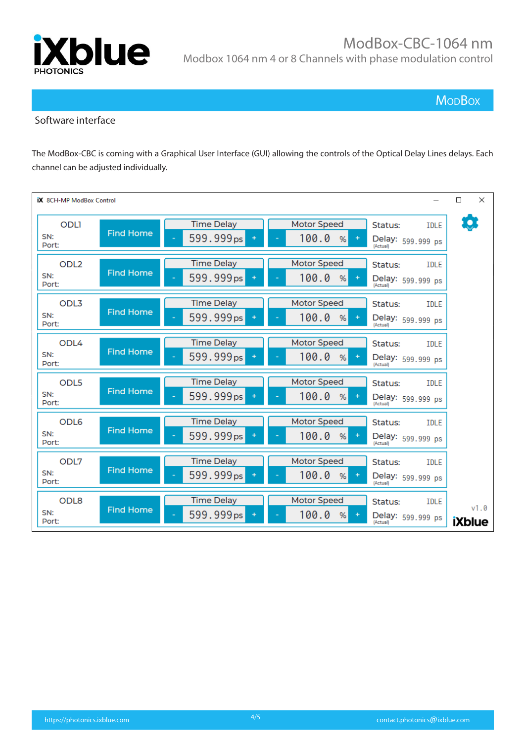

**MopBox** 

#### Software interface

The ModBox-CBC is coming with a Graphical User Interface (GUI) allowing the controls of the Optical Delay Lines delays. Each channel can be adjusted individually.